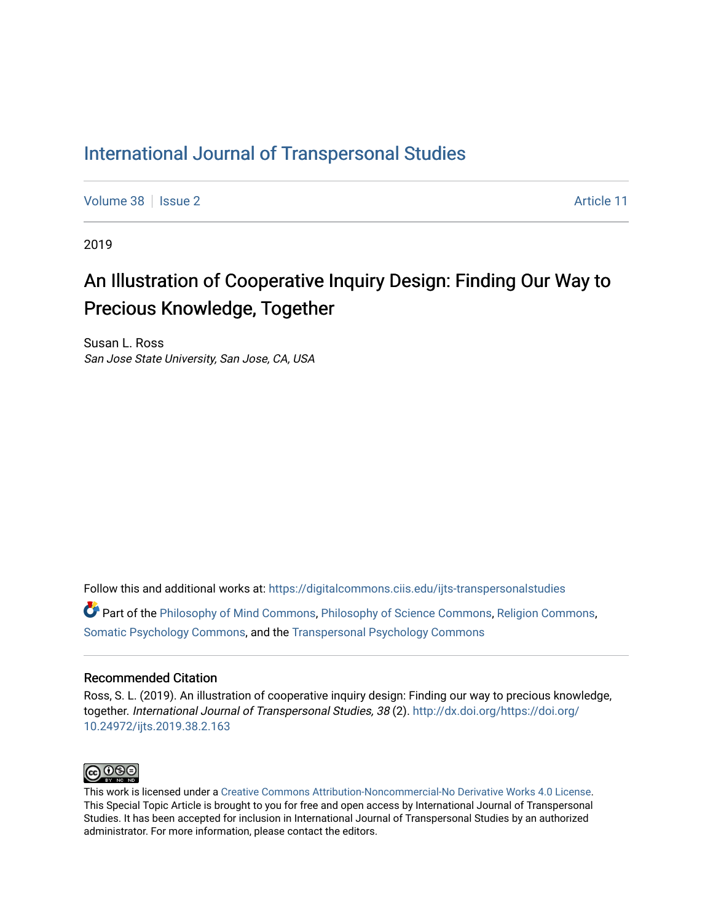# [International Journal of Transpersonal Studies](https://digitalcommons.ciis.edu/ijts-transpersonalstudies)

[Volume 38](https://digitalcommons.ciis.edu/ijts-transpersonalstudies/vol38) | [Issue 2](https://digitalcommons.ciis.edu/ijts-transpersonalstudies/vol38/iss2) Article 11

2019

# An Illustration of Cooperative Inquiry Design: Finding Our Way to Precious Knowledge, Together

Susan L. Ross San Jose State University, San Jose, CA, USA

Follow this and additional works at: [https://digitalcommons.ciis.edu/ijts-transpersonalstudies](https://digitalcommons.ciis.edu/ijts-transpersonalstudies?utm_source=digitalcommons.ciis.edu%2Fijts-transpersonalstudies%2Fvol38%2Fiss2%2F11&utm_medium=PDF&utm_campaign=PDFCoverPages) 

Part of the [Philosophy of Mind Commons](http://network.bepress.com/hgg/discipline/535?utm_source=digitalcommons.ciis.edu%2Fijts-transpersonalstudies%2Fvol38%2Fiss2%2F11&utm_medium=PDF&utm_campaign=PDFCoverPages), [Philosophy of Science Commons,](http://network.bepress.com/hgg/discipline/536?utm_source=digitalcommons.ciis.edu%2Fijts-transpersonalstudies%2Fvol38%2Fiss2%2F11&utm_medium=PDF&utm_campaign=PDFCoverPages) [Religion Commons](http://network.bepress.com/hgg/discipline/538?utm_source=digitalcommons.ciis.edu%2Fijts-transpersonalstudies%2Fvol38%2Fiss2%2F11&utm_medium=PDF&utm_campaign=PDFCoverPages), [Somatic Psychology Commons,](http://network.bepress.com/hgg/discipline/1431?utm_source=digitalcommons.ciis.edu%2Fijts-transpersonalstudies%2Fvol38%2Fiss2%2F11&utm_medium=PDF&utm_campaign=PDFCoverPages) and the [Transpersonal Psychology Commons](http://network.bepress.com/hgg/discipline/1388?utm_source=digitalcommons.ciis.edu%2Fijts-transpersonalstudies%2Fvol38%2Fiss2%2F11&utm_medium=PDF&utm_campaign=PDFCoverPages) 

### Recommended Citation

Ross, S. L. (2019). An illustration of cooperative inquiry design: Finding our way to precious knowledge, together. International Journal of Transpersonal Studies, 38 (2). [http://dx.doi.org/https://doi.org/](http://dx.doi.org/https://doi.org/10.24972/ijts.2019.38.2.163) [10.24972/ijts.2019.38.2.163](http://dx.doi.org/https://doi.org/10.24972/ijts.2019.38.2.163) 



This work is licensed under a [Creative Commons Attribution-Noncommercial-No Derivative Works 4.0 License.](https://creativecommons.org/licenses/by-nc-nd/4.0/) This Special Topic Article is brought to you for free and open access by International Journal of Transpersonal Studies. It has been accepted for inclusion in International Journal of Transpersonal Studies by an authorized administrator. For more information, please contact the editors.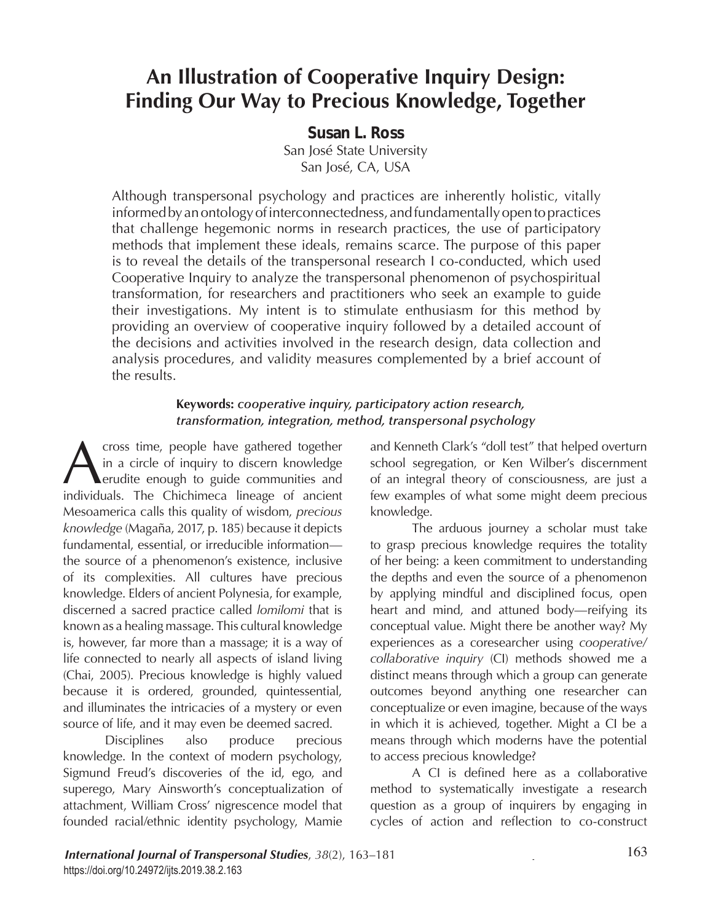# **An Illustration of Cooperative Inquiry Design: Finding Our Way to Precious Knowledge, Together**

*Susan L. Ross* San José State University San José, CA, USA

Although transpersonal psychology and practices are inherently holistic, vitally informed by an ontology of interconnectedness, and fundamentally open to practices that challenge hegemonic norms in research practices, the use of participatory methods that implement these ideals, remains scarce. The purpose of this paper is to reveal the details of the transpersonal research I co-conducted, which used Cooperative Inquiry to analyze the transpersonal phenomenon of psychospiritual transformation, for researchers and practitioners who seek an example to guide their investigations. My intent is to stimulate enthusiasm for this method by providing an overview of cooperative inquiry followed by a detailed account of the decisions and activities involved in the research design, data collection and analysis procedures, and validity measures complemented by a brief account of the results.

# **Keywords:** *cooperative inquiry, participatory action research, transformation, integration, method, transpersonal psychology*

Cross time, people have gathered together<br>in a circle of inquiry to discern knowledge<br>erudite enough to guide communities and<br>individuals. The Chichimeca lineage of ancient in a circle of inquiry to discern knowledge erudite enough to guide communities and individuals. The Chichimeca lineage of ancient Mesoamerica calls this quality of wisdom, *precious knowledge* (Magaña, 2017, p. 185) because it depicts fundamental, essential, or irreducible information the source of a phenomenon's existence, inclusive of its complexities. All cultures have precious knowledge. Elders of ancient Polynesia, for example, discerned a sacred practice called *lomilomi* that is known as a healing massage. This cultural knowledge is, however, far more than a massage; it is a way of life connected to nearly all aspects of island living (Chai, 2005). Precious knowledge is highly valued because it is ordered, grounded, quintessential, and illuminates the intricacies of a mystery or even source of life, and it may even be deemed sacred.

Disciplines also produce precious knowledge. In the context of modern psychology, Sigmund Freud's discoveries of the id, ego, and superego, Mary Ainsworth's conceptualization of attachment, William Cross' nigrescence model that founded racial/ethnic identity psychology, Mamie

and Kenneth Clark's "doll test" that helped overturn school segregation, or Ken Wilber's discernment of an integral theory of consciousness, are just a few examples of what some might deem precious knowledge.

The arduous journey a scholar must take to grasp precious knowledge requires the totality of her being: a keen commitment to understanding the depths and even the source of a phenomenon by applying mindful and disciplined focus, open heart and mind, and attuned body—reifying its conceptual value. Might there be another way? My experiences as a coresearcher using *cooperative/ collaborative inquiry* (CI) methods showed me a distinct means through which a group can generate outcomes beyond anything one researcher can conceptualize or even imagine, because of the ways in which it is achieved*,* together. Might a CI be a means through which moderns have the potential to access precious knowledge?

A CI is defined here as a collaborative method to systematically investigate a research question as a group of inquirers by engaging in cycles of action and reflection to co-construct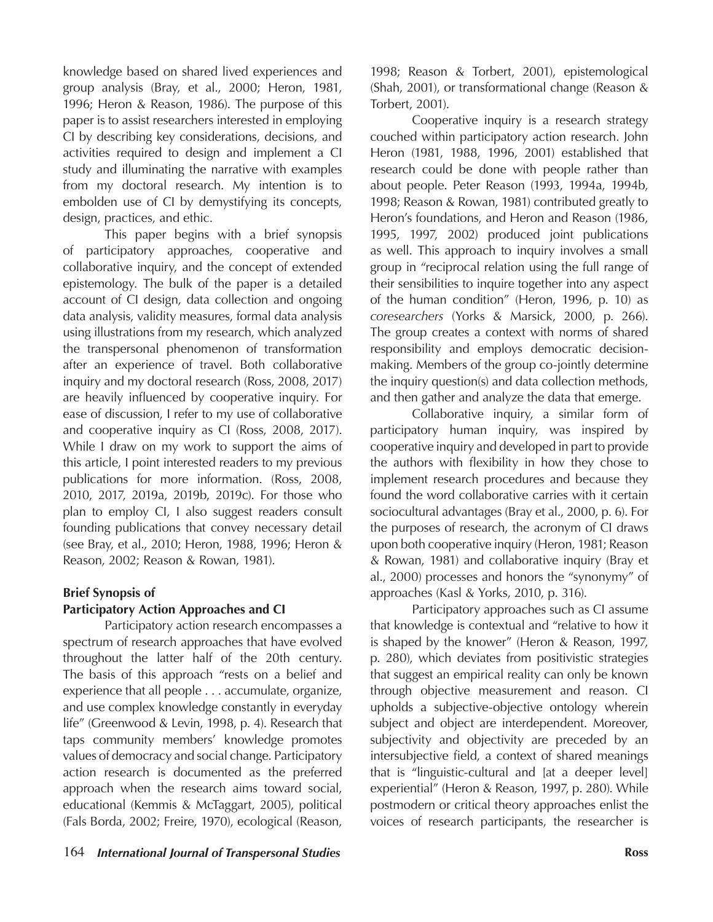knowledge based on shared lived experiences and group analysis (Bray, et al., 2000; Heron, 1981, 1996; Heron & Reason, 1986). The purpose of this paper is to assist researchers interested in employing CI by describing key considerations, decisions, and activities required to design and implement a CI study and illuminating the narrative with examples from my doctoral research. My intention is to embolden use of CI by demystifying its concepts, design, practices, and ethic.

This paper begins with a brief synopsis of participatory approaches, cooperative and collaborative inquiry, and the concept of extended epistemology. The bulk of the paper is a detailed account of CI design, data collection and ongoing data analysis, validity measures, formal data analysis using illustrations from my research, which analyzed the transpersonal phenomenon of transformation after an experience of travel. Both collaborative inquiry and my doctoral research (Ross, 2008, 2017) are heavily influenced by cooperative inquiry. For ease of discussion, I refer to my use of collaborative and cooperative inquiry as CI (Ross, 2008, 2017). While I draw on my work to support the aims of this article, I point interested readers to my previous publications for more information. (Ross, 2008, 2010, 2017, 2019a, 2019b, 2019c). For those who plan to employ CI, I also suggest readers consult founding publications that convey necessary detail (see Bray, et al., 2010; Heron, 1988, 1996; Heron & Reason, 2002; Reason & Rowan, 1981).

# **Brief Synopsis of Participatory Action Approaches and CI**

Participatory action research encompasses a spectrum of research approaches that have evolved throughout the latter half of the 20th century. The basis of this approach "rests on a belief and experience that all people . . . accumulate, organize, and use complex knowledge constantly in everyday life" (Greenwood & Levin, 1998, p. 4). Research that taps community members' knowledge promotes values of democracy and social change. Participatory action research is documented as the preferred approach when the research aims toward social, educational (Kemmis & McTaggart, 2005), political (Fals Borda, 2002; Freire, 1970), ecological (Reason,

1998; Reason & Torbert, 2001), epistemological (Shah, 2001), or transformational change (Reason & Torbert, 2001).

Cooperative inquiry is a research strategy couched within participatory action research. John Heron (1981, 1988, 1996, 2001) established that research could be done withpeople rather than aboutpeople. Peter Reason (1993, 1994a, 1994b, 1998; Reason & Rowan, 1981) contributed greatly to Heron's foundations, and Heron and Reason (1986, 1995, 1997, 2002) produced joint publications as well. This approach to inquiry involves a small group in "reciprocal relation using the full range of their sensibilities to inquire together into any aspect of the human condition" (Heron, 1996, p. 10) as *coresearchers* (Yorks & Marsick, 2000, p. 266). The group creates a context with norms of shared responsibility and employs democratic decisionmaking. Members of the group co-jointly determine the inquiry question(s) and data collection methods, and then gather and analyze the data that emerge.

Collaborative inquiry, a similar form of participatory human inquiry, was inspired by cooperative inquiry and developed in part to provide the authors with flexibility in how they chose to implement research procedures and because they found the word collaborative carries with it certain sociocultural advantages (Bray et al., 2000, p. 6). For the purposes of research, the acronym of CI draws upon both cooperative inquiry (Heron, 1981; Reason & Rowan, 1981) and collaborative inquiry (Bray et al., 2000) processes and honors the "synonymy" of approaches (Kasl & Yorks, 2010, p. 316).

Participatory approaches such as CI assume that knowledge is contextual and "relative to how it is shaped by the knower" (Heron & Reason, 1997, p. 280), which deviates from positivistic strategies that suggest an empirical reality can only be known through objective measurement and reason. CI upholds a subjective-objective ontology wherein subject and object are interdependent. Moreover, subjectivity and objectivity are preceded by an intersubjective field, a context of shared meanings that is "linguistic-cultural and [at a deeper level] experiential" (Heron & Reason, 1997, p. 280). While postmodern or critical theory approaches enlist the voices of research participants, the researcher is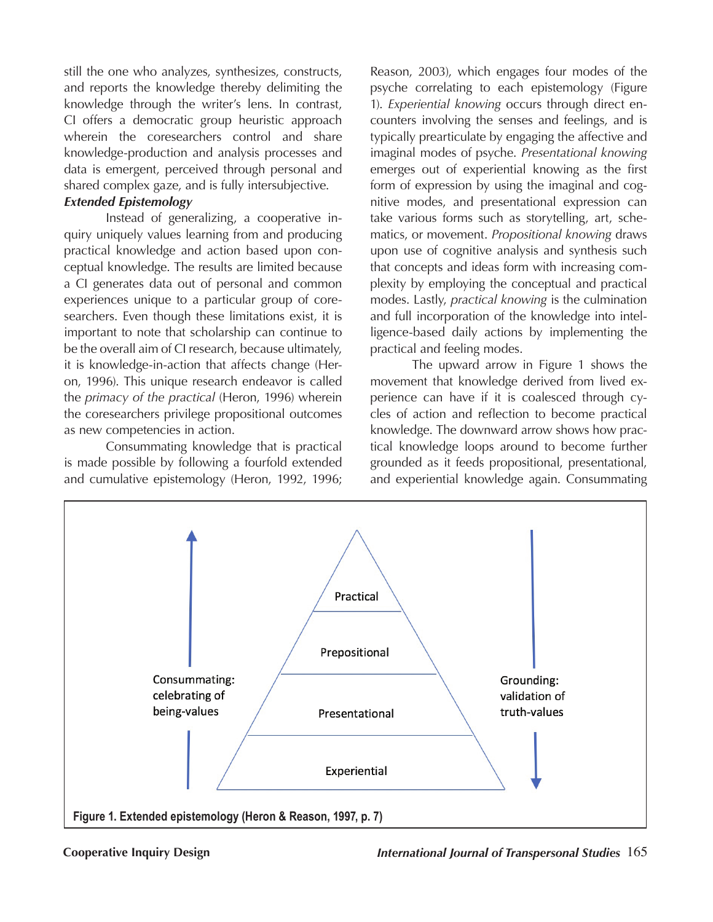still the one who analyzes, synthesizes, constructs, and reports the knowledge thereby delimiting the knowledge through the writer's lens. In contrast, CI offers a democratic group heuristic approach wherein the coresearchers control and share knowledge-production and analysis processes and data is emergent, perceived through personal and shared complex gaze, and is fully intersubjective.

# *Extended Epistemology*

Instead of generalizing, a cooperative inquiry uniquely values learning from and producing practical knowledge and action based upon conceptual knowledge. The results are limited because a CI generates data out of personal and common experiences unique to a particular group of coresearchers. Even though these limitations exist, it is important to note that scholarship can continue to be the overall aim of CI research, because ultimately, it is knowledge-in-action that affects change (Heron, 1996). This unique research endeavor is called the *primacy of the practical* (Heron, 1996) wherein the coresearchers privilege propositional outcomes as new competencies in action.

Consummating knowledge that is practical is made possible by following a fourfold extended and cumulative epistemology (Heron, 1992, 1996; Reason, 2003), which engages four modes of the psyche correlating to each epistemology (Figure 1). *Experiential knowing* occurs through direct encounters involving the senses and feelings, and is typically prearticulate by engaging the affective and imaginal modes of psyche. *Presentational knowing* emerges out of experiential knowing as the first form of expression by using the imaginal and cognitive modes, and presentational expression can take various forms such as storytelling, art, schematics, or movement. *Propositional knowing* draws upon use of cognitive analysis and synthesis such that concepts and ideas form with increasing complexity by employing the conceptual and practical modes. Lastly, *practical knowing* is the culmination and full incorporation of the knowledge into intelligence-based daily actions by implementing the practical and feeling modes.

The upward arrow in Figure 1 shows the movement that knowledge derived from lived experience can have if it is coalesced through cycles of action and reflection to become practical knowledge. The downward arrow shows how practical knowledge loops around to become further grounded as it feeds propositional, presentational, and experiential knowledge again. Consummating



**Cooperative Inquiry Design** *International Journal of Transpersonal Studies* 165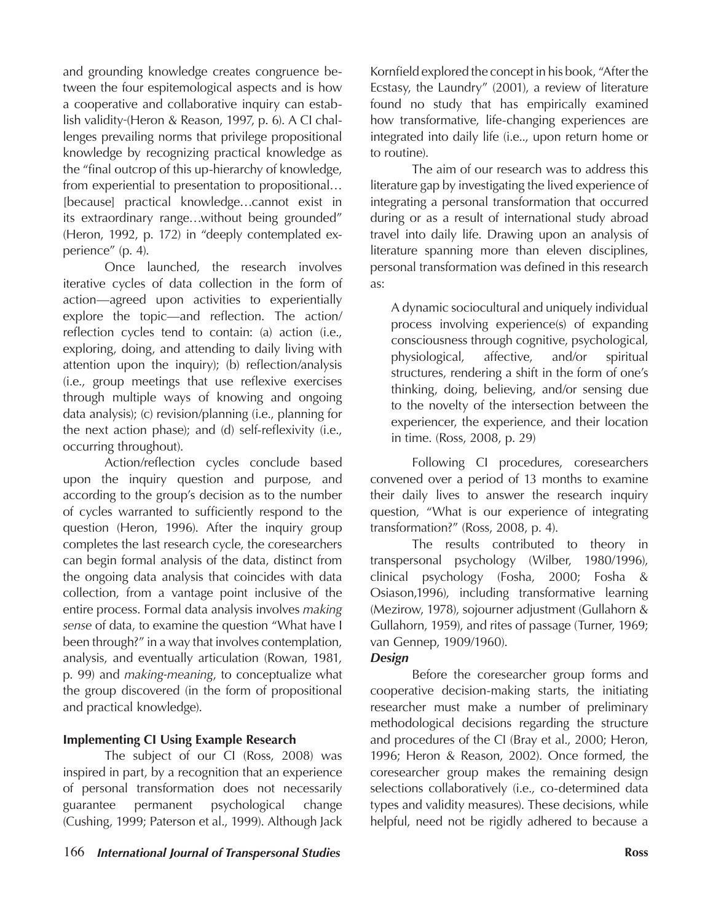and grounding knowledge creates congruence between the four espitemological aspects and is how a cooperative and collaborative inquiry can establish validity (Heron & Reason, 1997, p. 6). A CI challenges prevailing norms that privilege propositional knowledge by recognizing practical knowledge as the "final outcrop of this up-hierarchy of knowledge, from experiential to presentation to propositional… [because] practical knowledge...cannot exist in its extraordinary range…without being grounded" (Heron, 1992, p. 172) in "deeply contemplated experience" (p. 4).

Once launched, the research involves iterative cycles of data collection in the form of action—agreed upon activities to experientially explore the topic—and reflection. The action/ reflection cycles tend to contain: (a) action (i.e., exploring, doing, and attending to daily living with attention upon the inquiry); (b) reflection/analysis (i.e., group meetings that use reflexive exercises through multiple ways of knowing and ongoing data analysis); (c) revision/planning (i.e., planning for the next action phase); and (d) self-reflexivity (i.e., occurring throughout).

Action/reflection cycles conclude based upon the inquiry question and purpose, and according to the group's decision as to the number of cycles warranted to sufficiently respond to the question (Heron, 1996). After the inquiry group completes the last research cycle, the coresearchers can begin formal analysis of the data, distinct from the ongoing data analysisthat coincides with data collection, from a vantage point inclusive of the entire process. Formal data analysis involves *making sense* of data, to examine the question "What have I been through?" in a way that involves contemplation, analysis, and eventually articulation (Rowan, 1981, p. 99) and *making-meaning*, to conceptualize what the group discovered (in the form of propositional and practical knowledge).

# **Implementing CI Using Example Research**

The subject of our CI (Ross, 2008) was inspired in part, by a recognition that an experience of personal transformation does not necessarily guarantee permanent psychological change (Cushing, 1999; Paterson et al., 1999). Although Jack

Kornfield explored the concept in his book, "After the Ecstasy, the Laundry" (2001), a review of literature found no study that has empirically examined how transformative, life-changing experiences are integrated into daily life (i.e.., upon return home or to routine).

The aim of our research was to address this literature gap by investigating the lived experience of integrating a personal transformation that occurred during or as a result of international study abroad travel into daily life. Drawing upon an analysis of literature spanning more than eleven disciplines, personal transformation was defined in this research as:

A dynamic sociocultural and uniquely individual process involving experience(s) of expanding consciousness through cognitive, psychological, physiological, affective, and/or spiritual structures, rendering a shift in the form of one's thinking, doing, believing, and/or sensing due to the novelty of the intersection between the experiencer, the experience, and their location in time. (Ross, 2008, p. 29)

Following CI procedures, coresearchers convened over a period of 13 months to examine their daily lives to answer the research inquiry question, "What is our experience of integrating transformation?" (Ross, 2008, p. 4).

The results contributed to theory in transpersonal psychology (Wilber, 1980/1996), clinical psychology (Fosha, 2000; Fosha & Osiason,1996), including transformative learning (Mezirow, 1978), sojourner adjustment (Gullahorn & Gullahorn, 1959), and rites of passage (Turner, 1969; van Gennep, 1909/1960).

# *Design*

Before the coresearcher group forms and cooperative decision-making starts, the initiating researcher must make a number of preliminary methodological decisions regarding the structure and procedures of the CI (Bray et al., 2000; Heron, 1996; Heron & Reason, 2002). Once formed, the coresearcher group makes the remaining design selections collaboratively (i.e., co-determined data types and validity measures). These decisions, while helpful, need not be rigidly adhered to because a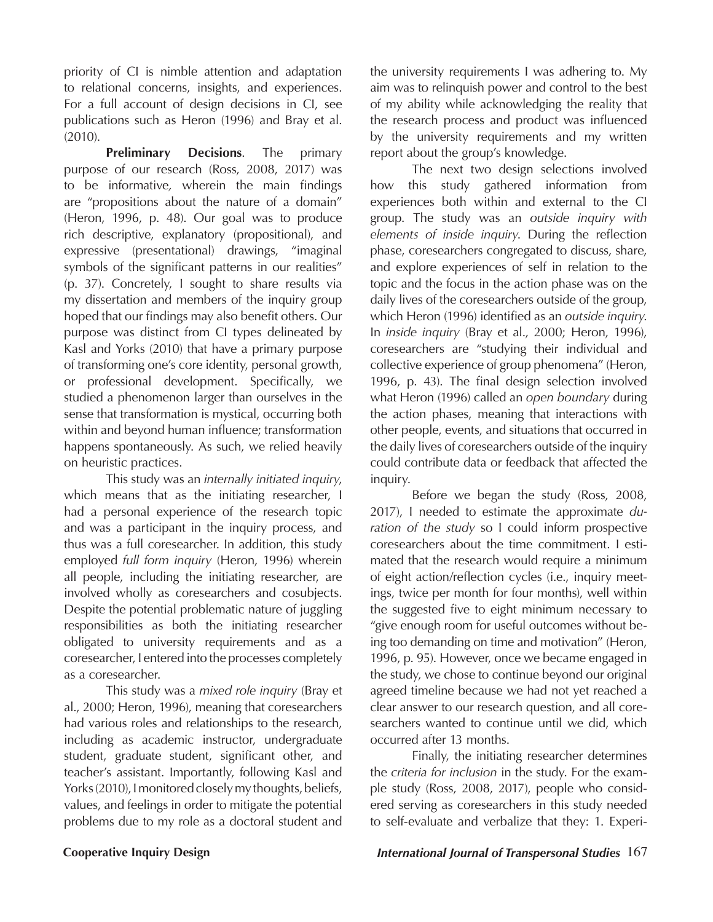priority of CI is nimble attention and adaptation to relational concerns, insights, and experiences. For a full account of design decisions in CI, see publications such as Heron (1996) and Bray et al. (2010).

**Preliminary Decisions**. The primary purpose of our research (Ross, 2008, 2017) was to be informative*,* wherein the main findings are "propositions about the nature of a domain" (Heron, 1996, p. 48). Our goal was to produce rich descriptive, explanatory (propositional), and expressive (presentational) drawings, "imaginal symbols of the significant patterns in our realities" (p. 37). Concretely, I sought to share results via my dissertation and members of the inquiry group hoped that our findings may also benefit others. Our purpose was distinct from CI types delineated by Kasl and Yorks (2010) that have a primary purpose of transforming one's core identity, personal growth, or professional development. Specifically, we studied a phenomenon larger than ourselves in the sense that transformation is mystical, occurring both within and beyond human influence; transformation happens spontaneously. As such, we relied heavily on heuristic practices.

This study was an *internally initiated inquiry*, which means that as the initiating researcher, I had a personal experience of the research topic and was a participant in the inquiry process, and thus was a full coresearcher. In addition, this study employed *full form inquiry* (Heron, 1996) wherein all people, including the initiating researcher, are involved wholly as coresearchers and cosubjects. Despite the potential problematic nature of juggling responsibilities as both the initiating researcher obligated to university requirements and as a coresearcher, I entered into the processes completely as a coresearcher.

This study was a *mixed role inquiry* (Bray et al., 2000; Heron, 1996), meaning that coresearchers had various roles and relationships to the research, including as academic instructor, undergraduate student, graduate student, significant other, and teacher's assistant. Importantly, following Kasl and Yorks (2010), I monitored closely my thoughts, beliefs, values, and feelings in order to mitigate the potential problems due to my role as a doctoral student and

the university requirements I was adhering to. My aim was to relinquish power and control to the best of my ability while acknowledging the reality that the research process and product was influenced by the university requirements and my written report about the group's knowledge.

The next two design selections involved how this study gathered information from experiences both within and external to the CI group. The study was an *outside inquiry with elements of inside inquiry*. During the reflection phase, coresearchers congregated to discuss, share, and explore experiences of self in relation to the topic and the focus in the action phase was on the daily lives of the coresearchers outside of the group, which Heron (1996) identified as an *outside inquiry*. In *inside inquiry* (Bray et al., 2000; Heron, 1996), coresearchers are "studying their individual and collective experience of group phenomena" (Heron, 1996, p. 43). The final design selection involved what Heron (1996) called an *open boundary* during the action phases, meaning that interactions with other people, events, and situations that occurred in the daily lives of coresearchers outside of the inquiry could contribute data or feedback that affected the inquiry.

Before we began the study (Ross, 2008, 2017), I needed to estimate the approximate *duration of the study* so I could inform prospective coresearchers about the time commitment. I estimated that the research would require a minimum of eight action/reflection cycles (i.e., inquiry meetings, twice per month for four months), well within the suggested five to eight minimum necessary to "give enough room for useful outcomes without being too demanding on time and motivation" (Heron, 1996, p. 95). However, once we became engaged in the study, we chose to continue beyond our original agreed timeline because we had not yet reached a clear answer to our research question, and all coresearchers wanted to continue until we did, which occurred after 13 months.

Finally, the initiating researcher determines the *criteria for inclusion* in the study. For the example study (Ross, 2008, 2017), people who considered serving as coresearchers in this study needed to self-evaluate and verbalize that they: 1. Experi-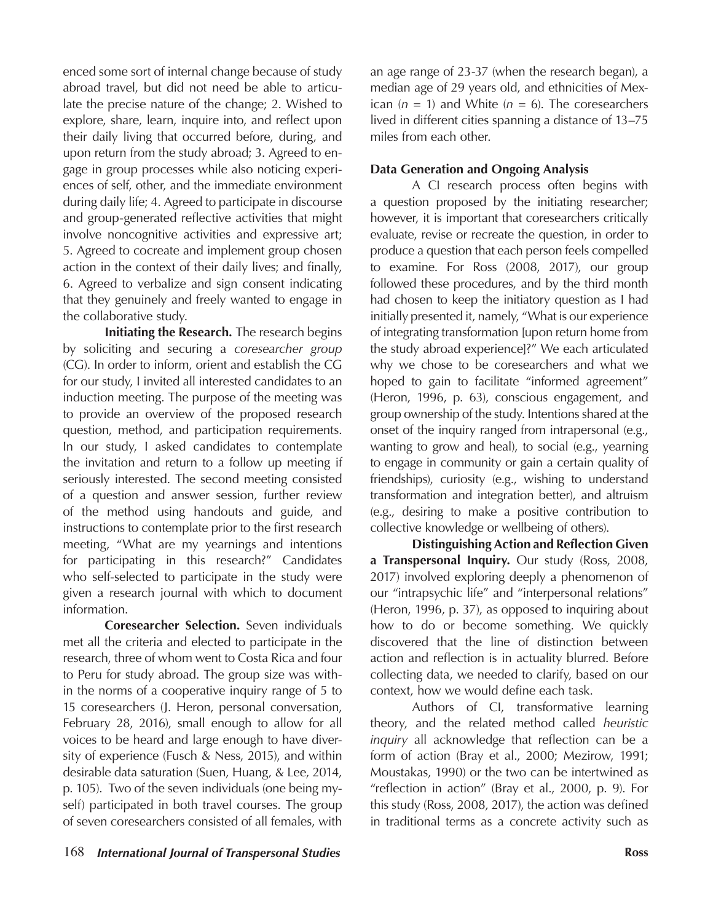enced some sort of internal change because of study abroad travel, but did not need be able to articulate the precise nature of the change; 2. Wished to explore, share, learn, inquire into, and reflect upon their daily living that occurred before, during, and upon return from the study abroad; 3. Agreed to engage in group processes while also noticing experiences of self, other, and the immediate environment during daily life; 4. Agreed to participate in discourse and group-generated reflective activities that might involve noncognitive activities and expressive art; 5. Agreed to cocreate and implement group chosen action in the context of their daily lives; and finally, 6. Agreed to verbalize and sign consent indicating that they genuinely and freely wanted to engage in the collaborative study.

**Initiating the Research***.* The research begins by soliciting and securing a *coresearcher group*  (CG). In order to inform, orient and establish the CG for our study, I invited all interested candidates to an induction meeting. The purpose of the meeting was to provide an overview of the proposed research question, method, and participation requirements. In our study, I asked candidates to contemplate the invitation and return to a follow up meeting if seriously interested. The second meeting consisted of a question and answer session, further review of the method using handouts and guide, and instructions to contemplate prior to the first research meeting, "What are my yearnings and intentions for participating in this research?" Candidates who self-selected to participate in the study were given a research journal with which to document information.

**Coresearcher Selection.** Seven individuals met all the criteria and elected to participate in the research, three of whom went to Costa Rica and four to Peru for study abroad. The group size was within the norms of a cooperative inquiry range of 5 to 15 coresearchers (J. Heron, personal conversation, February 28, 2016), small enough to allow for all voices to be heard and large enough to have diversity of experience (Fusch & Ness, 2015), and within desirable data saturation (Suen, Huang, & Lee, 2014, p. 105). Two of the seven individuals (one being myself) participated in both travel courses. The group of seven coresearchers consisted of all females, with

an age range of 23-37 (when the research began), a median age of 29 years old, and ethnicities of Mexican  $(n = 1)$  and White  $(n = 6)$ . The coresearchers lived in different cities spanning a distance of 13–75 miles from each other.

# **Data Generation and Ongoing Analysis**

A CI research process often begins with a question proposed by the initiating researcher; however, it is important that coresearchers critically evaluate, revise or recreate the question, in order to produce a question that each person feels compelled to examine. For Ross (2008, 2017), our group followed these procedures, and by the third month had chosen to keep the initiatory question as I had initially presented it, namely, "What is our experience of integrating transformation [upon return home from the study abroad experience]?" We each articulated why we chose to be coresearchers and what we hoped to gain to facilitate "informed agreement" (Heron, 1996, p. 63), conscious engagement, and group ownership of the study. Intentions shared at the onset of the inquiry ranged from intrapersonal (e.g., wanting to grow and heal), to social (e.g., yearning to engage in community or gain a certain quality of friendships), curiosity (e.g., wishing to understand transformation and integration better), and altruism (e.g., desiring to make a positive contribution to collective knowledge or wellbeing of others).

**Distinguishing Action and Reflection Given a Transpersonal Inquiry.** Our study (Ross, 2008, 2017) involved exploring deeply a phenomenon of our "intrapsychic life" and "interpersonal relations" (Heron, 1996, p. 37), as opposed to inquiring about how to do or become something. We quickly discovered that the line of distinction between action and reflection is in actuality blurred. Before collecting data, we needed to clarify, based on our context, how we would define each task.

Authors of CI, transformative learning theory, and the related method called *heuristic inquiry* all acknowledge that reflection can be a form of action (Bray et al., 2000; Mezirow, 1991; Moustakas, 1990) or the two can be intertwined as "reflection in action" (Bray et al., 2000, p. 9). For this study (Ross, 2008, 2017), the action was defined in traditional terms as a concrete activity such as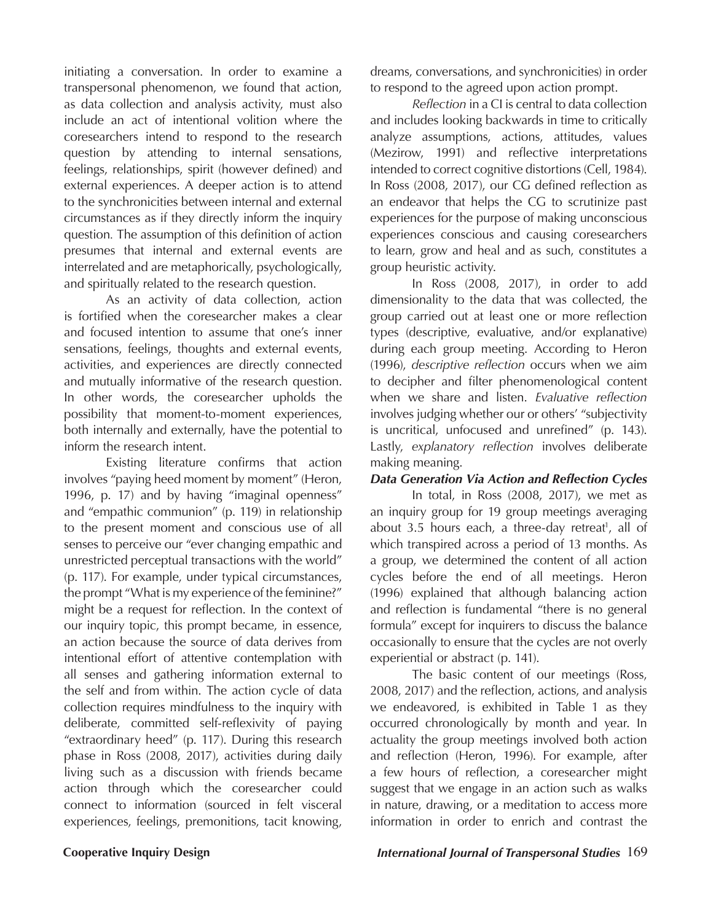initiating a conversation. In order to examine a transpersonal phenomenon, we found that action, as data collection and analysis activity, must also include an act of intentional volition where the coresearchers intend to respond to the research question by attending to internal sensations, feelings, relationships, spirit (however defined) and external experiences. A deeper action is to attend to the synchronicities between internal and external circumstances as if they directly inform the inquiry question*.* The assumption of this definition of action presumes that internal and external events are interrelated and are metaphorically, psychologically, and spiritually related to the research question.

As an activity of data collection, action is fortified when the coresearcher makes a clear and focused intention to assume that one's inner sensations, feelings, thoughts and external events, activities, and experiences are directly connected and mutually informative of the research question. In other words, the coresearcher upholds the possibility that moment-to-moment experiences, both internally and externally, have the potential to inform the research intent.

Existing literature confirms that action involves "paying heed moment by moment" (Heron, 1996, p. 17) and by having "imaginal openness" and "empathic communion" (p. 119) in relationship to the present moment and conscious use of all senses to perceive our "ever changing empathic and unrestricted perceptual transactions with the world" (p. 117). For example, under typical circumstances, the prompt "What is my experience of the feminine?" might be a request for reflection. In the context of our inquiry topic, this prompt became, in essence, an action because the source of data derives from intentional effort of attentive contemplation with all senses and gathering information external to the self and from within. The action cycle of data collection requires mindfulness to the inquiry with deliberate, committed self-reflexivity of paying "extraordinary heed" (p. 117). During this research phase in Ross (2008, 2017), activities during daily living such as a discussion with friends became action through which the coresearcher could connect to information (sourced in felt visceral experiences, feelings, premonitions, tacit knowing,

dreams, conversations, and synchronicities) in order to respond to the agreed upon action prompt.

*Reflection* in a CI is central to data collection and includes looking backwards in time to critically analyze assumptions, actions, attitudes, values (Mezirow, 1991) and reflective interpretations intended to correct cognitive distortions (Cell, 1984). In Ross (2008, 2017), our CG defined reflection as an endeavor that helps the CG to scrutinize past experiences for the purpose of making unconscious experiences conscious and causing coresearchers to learn, grow and heal and as such, constitutes a group heuristic activity.

In Ross (2008, 2017), in order to add dimensionality to the data that was collected, the group carried out at least one or more reflection types (descriptive, evaluative, and/or explanative) during each group meeting. According to Heron (1996), *descriptive reflection* occurs when we aim to decipher and filter phenomenological content when we share and listen. *Evaluative reflection* involves judging whether our or others' "subjectivity is uncritical, unfocused and unrefined" (p. 143). Lastly, *explanatory reflection* involves deliberate making meaning.

## *Data Generation Via Action and Reflection Cycles*

In total, in Ross (2008, 2017), we met as an inquiry group for 19 group meetings averaging about 3.5 hours each, a three-day retreat<sup>1</sup>, all of which transpired across a period of 13 months. As a group, we determined the content of all action cycles before the end of all meetings. Heron (1996) explained that although balancing action and reflection is fundamental "there is no general formula" except for inquirers to discuss the balance occasionally to ensure that the cycles are not overly experiential or abstract (p. 141).

The basic content of our meetings (Ross, 2008, 2017) and the reflection, actions, and analysis we endeavored, is exhibited in Table 1 as they occurred chronologically by month and year. In actuality the group meetings involved both action and reflection (Heron, 1996). For example, after a few hours of reflection, a coresearcher might suggest that we engage in an action such as walks in nature, drawing, or a meditation to access more information in order to enrich and contrast the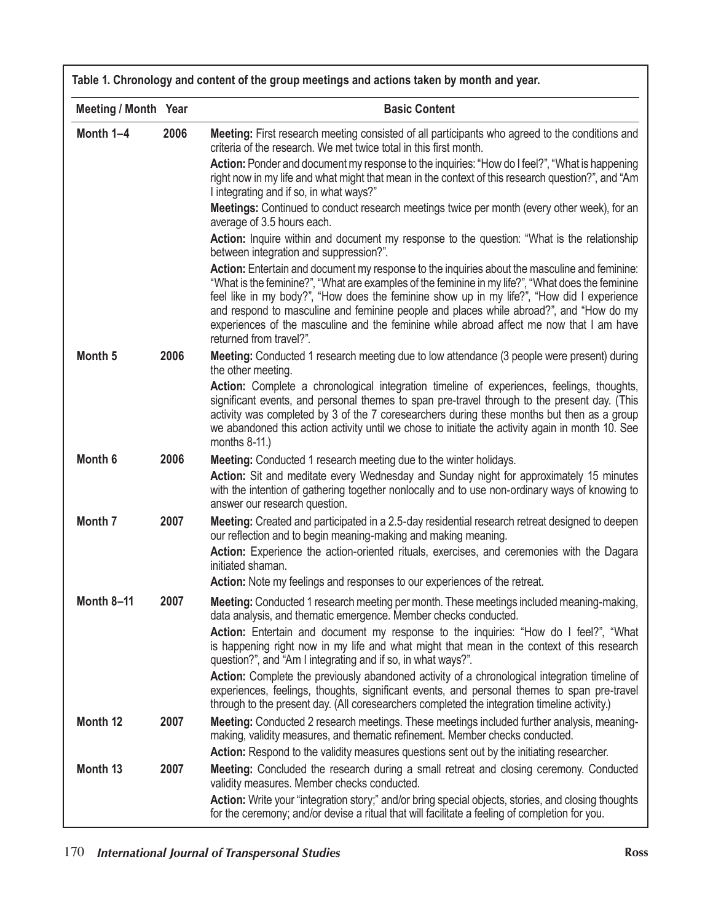| <b>Meeting / Month Year</b> |      | <b>Basic Content</b>                                                                                                                                                                                                                                                                                                                                                                                                                                                                                              |  |
|-----------------------------|------|-------------------------------------------------------------------------------------------------------------------------------------------------------------------------------------------------------------------------------------------------------------------------------------------------------------------------------------------------------------------------------------------------------------------------------------------------------------------------------------------------------------------|--|
| Month 1-4                   | 2006 | Meeting: First research meeting consisted of all participants who agreed to the conditions and<br>criteria of the research. We met twice total in this first month.                                                                                                                                                                                                                                                                                                                                               |  |
|                             |      | <b>Action:</b> Ponder and document my response to the inquiries: "How do I feel?", "What is happening<br>right now in my life and what might that mean in the context of this research question?", and "Am<br>I integrating and if so, in what ways?"                                                                                                                                                                                                                                                             |  |
|                             |      | Meetings: Continued to conduct research meetings twice per month (every other week), for an<br>average of 3.5 hours each.                                                                                                                                                                                                                                                                                                                                                                                         |  |
|                             |      | Action: Inquire within and document my response to the question: "What is the relationship<br>between integration and suppression?".                                                                                                                                                                                                                                                                                                                                                                              |  |
|                             |      | Action: Entertain and document my response to the inquiries about the masculine and feminine:<br>"What is the feminine?", "What are examples of the feminine in my life?", "What does the feminine"<br>feel like in my body?", "How does the feminine show up in my life?", "How did I experience<br>and respond to masculine and feminine people and places while abroad?", and "How do my<br>experiences of the masculine and the feminine while abroad affect me now that I am have<br>returned from travel?". |  |
| Month <sub>5</sub>          | 2006 | Meeting: Conducted 1 research meeting due to low attendance (3 people were present) during<br>the other meeting.                                                                                                                                                                                                                                                                                                                                                                                                  |  |
|                             |      | Action: Complete a chronological integration timeline of experiences, feelings, thoughts,<br>significant events, and personal themes to span pre-travel through to the present day. (This<br>activity was completed by 3 of the 7 coresearchers during these months but then as a group<br>we abandoned this action activity until we chose to initiate the activity again in month 10. See<br>months $8-11$ .)                                                                                                   |  |
| Month <sub>6</sub>          | 2006 | Meeting: Conducted 1 research meeting due to the winter holidays.                                                                                                                                                                                                                                                                                                                                                                                                                                                 |  |
|                             |      | Action: Sit and meditate every Wednesday and Sunday night for approximately 15 minutes<br>with the intention of gathering together nonlocally and to use non-ordinary ways of knowing to<br>answer our research question.                                                                                                                                                                                                                                                                                         |  |
| Month <sub>7</sub>          | 2007 | Meeting: Created and participated in a 2.5-day residential research retreat designed to deepen<br>our reflection and to begin meaning-making and making meaning.                                                                                                                                                                                                                                                                                                                                                  |  |
|                             |      | Action: Experience the action-oriented rituals, exercises, and ceremonies with the Dagara<br>initiated shaman.                                                                                                                                                                                                                                                                                                                                                                                                    |  |
|                             |      | Action: Note my feelings and responses to our experiences of the retreat.                                                                                                                                                                                                                                                                                                                                                                                                                                         |  |
| <b>Month 8-11</b>           | 2007 | Meeting: Conducted 1 research meeting per month. These meetings included meaning-making,<br>data analysis, and thematic emergence. Member checks conducted.                                                                                                                                                                                                                                                                                                                                                       |  |
|                             |      | Action: Entertain and document my response to the inquiries: "How do I feel?", "What<br>is happening right now in my life and what might that mean in the context of this research<br>question?", and "Am I integrating and if so, in what ways?".                                                                                                                                                                                                                                                                |  |
|                             |      | Action: Complete the previously abandoned activity of a chronological integration timeline of<br>experiences, feelings, thoughts, significant events, and personal themes to span pre-travel<br>through to the present day. (All coresearchers completed the integration timeline activity.)                                                                                                                                                                                                                      |  |
| Month 12                    | 2007 | Meeting: Conducted 2 research meetings. These meetings included further analysis, meaning-<br>making, validity measures, and thematic refinement. Member checks conducted.<br>Action: Respond to the validity measures questions sent out by the initiating researcher.                                                                                                                                                                                                                                           |  |
| Month <sub>13</sub>         | 2007 | Meeting: Concluded the research during a small retreat and closing ceremony. Conducted<br>validity measures. Member checks conducted.                                                                                                                                                                                                                                                                                                                                                                             |  |
|                             |      | Action: Write your "integration story;" and/or bring special objects, stories, and closing thoughts<br>for the ceremony; and/or devise a ritual that will facilitate a feeling of completion for you.                                                                                                                                                                                                                                                                                                             |  |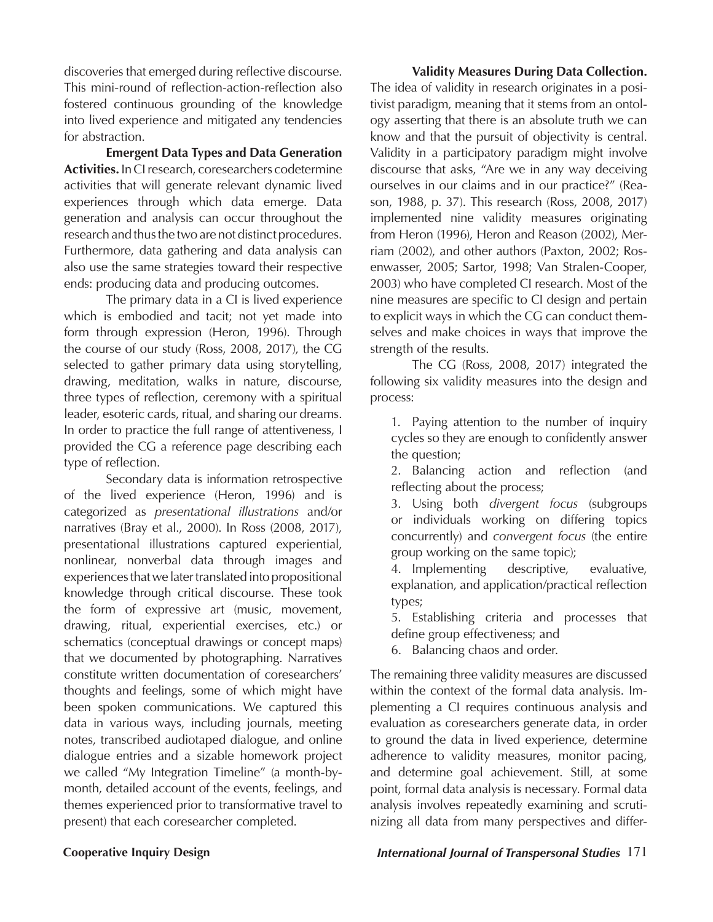discoveries that emerged during reflective discourse. This mini-round of reflection-action-reflection also fostered continuous grounding of the knowledge into lived experience and mitigated any tendencies for abstraction.

**Emergent Data Types and Data Generation Activities.** In CI research, coresearchers codetermine activities that will generate relevant dynamic lived experiences through which data emerge. Data generation and analysis can occur throughout the research and thus the two are not distinct procedures. Furthermore, data gathering and data analysis can also use the same strategiestoward their respective ends: producing data and producing outcomes.

The primary data in a CI is lived experience which is embodied and tacit; not yet made into form through expression (Heron, 1996). Through the course of our study (Ross, 2008, 2017), the CG selected to gather primary data using storytelling, drawing, meditation, walks in nature, discourse, three types of reflection, ceremony with a spiritual leader, esoteric cards, ritual, and sharing our dreams. In order to practice the full range of attentiveness, I provided the CG a reference page describing each type of reflection.

Secondary data is information retrospective of the lived experience (Heron, 1996) and is categorized as *presentational illustrations* and/or narratives (Bray et al., 2000). In Ross (2008, 2017), presentational illustrationscaptured experiential, nonlinear, nonverbal data through images and experiences that we later translated into propositional knowledge through critical discourse. These took the form of expressive art (music, movement, drawing, ritual, experiential exercises, etc.) or schematics (conceptual drawings or concept maps) that we documented by photographing. Narratives constitute written documentation of coresearchers' thoughts and feelings, some of which might have been spoken communications. We captured this data in various ways, including journals, meeting notes, transcribed audiotaped dialogue, and online dialogue entries and a sizable homework project we called "My Integration Timeline" (a month-bymonth, detailed account of the events, feelings, and themes experienced prior to transformative travel to present) that each coresearcher completed.

**Validity Measures During Data Collection.** The idea of validity in research originates in a positivist paradigm, meaning that it stems from an ontology asserting that there is an absolute truth we can know and that the pursuit of objectivity is central. Validity in a participatory paradigm might involve discourse that asks, "Are we in any way deceiving ourselves in our claims and in our practice?" (Reason, 1988, p. 37). This research (Ross, 2008, 2017) implemented nine validity measures originating from Heron (1996), Heron and Reason (2002), Merriam (2002), and other authors (Paxton, 2002; Rosenwasser, 2005; Sartor, 1998; Van Stralen-Cooper, 2003) who have completed CI research. Most of the nine measures are specific to CI design and pertain to explicit ways in which the CG can conduct themselves and make choices in ways that improve the strength of the results.

The CG (Ross, 2008, 2017) integrated the following six validity measures into the design and process:

1. Paying attention to the number of inquiry cycles so they are enough to confidently answer the question;

2. Balancing action and reflection (and reflecting about the process;

3. Using both *divergent focus* (subgroups or individuals working on differing topics concurrently) and *convergent focus* (the entire group working on the same topic);

4. Implementing descriptive, evaluative, explanation, and application/practical reflection types;

5. Establishing criteria and processes that define group effectiveness; and

6. Balancing chaos and order.

The remaining three validity measures are discussed within the context of the formal data analysis.Implementing a CI requires continuous analysis and evaluation as coresearchers generate data, in order to ground the data in lived experience, determine adherence to validity measures, monitor pacing, and determine goal achievement. Still, at some point, formal data analysis is necessary. Formal data analysis involves repeatedly examining and scrutinizing all data from many perspectives and differ-

# **Cooperative Inquiry Design** *International Journal of Transpersonal Studies* 171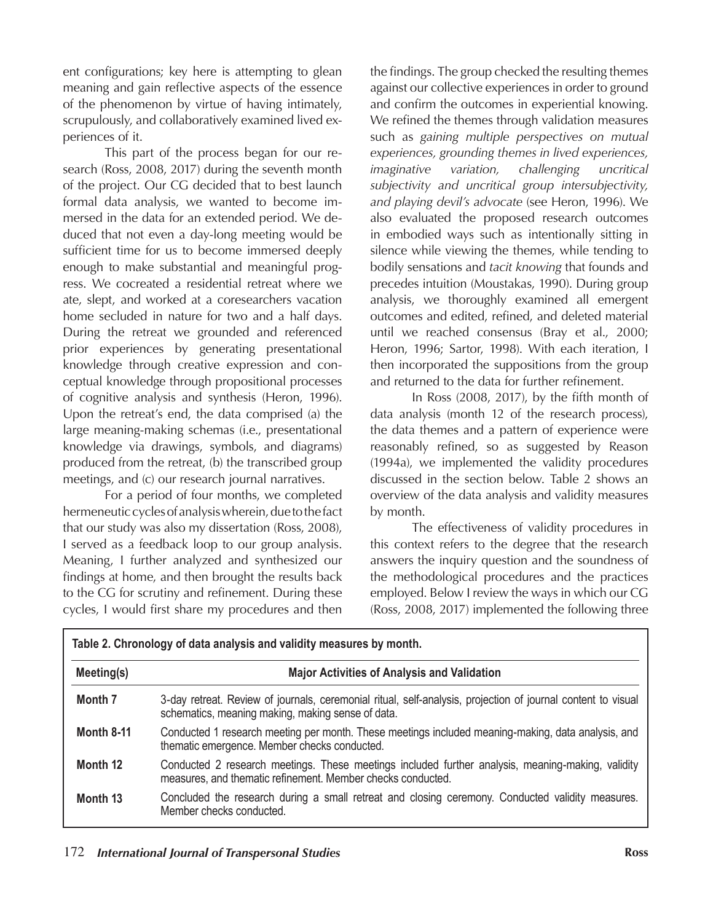ent configurations; key here is attempting to glean meaning and gain reflective aspects of the essence of the phenomenon by virtue of having intimately, scrupulously, and collaboratively examined lived experiences of it.

This part of the process began for our research (Ross, 2008, 2017) during the seventh month of the project. Our CG decided that to best launch formal data analysis, we wanted to become immersed in the data for an extended period. We deduced that not even a day-long meeting would be sufficient time for us to become immersed deeply enough to make substantial and meaningful progress. We cocreated a residential retreat where we ate, slept, and worked at a coresearchers vacation home secluded in nature for two and a half days. During the retreat we grounded and referenced prior experiences by generating presentational knowledge through creative expression and conceptual knowledge through propositional processes of cognitive analysis and synthesis (Heron, 1996). Upon the retreat's end, the data comprised (a) the large meaning-making schemas (i.e., presentational knowledge via drawings, symbols, and diagrams) produced from the retreat, (b) the transcribed group meetings, and (c) our research journal narratives.

For a period of four months, we completed hermeneutic cycles of analysis wherein, due to the fact that our study was also my dissertation (Ross, 2008), I served as a feedback loop to our group analysis. Meaning, I further analyzed and synthesized our findings at home, and then brought the results back to the CG for scrutiny and refinement. During these cycles, I would first share my procedures and then

the findings. The group checked the resulting themes against our collective experiences in order to ground and confirm the outcomes in experiential knowing. We refined the themes through validation measures such as *gaining multiple perspectives on mutual experiences, grounding themes in lived experiences, imaginative variation, challenging uncritical subjectivity and uncritical group intersubjectivity, and playing devil's advocate* (see Heron, 1996). We also evaluated the proposed research outcomes in embodied ways such as intentionally sitting in silence while viewing the themes, while tending to bodily sensations and *tacit knowing* that founds and precedes intuition (Moustakas, 1990). During group analysis, we thoroughly examined all emergent outcomes and edited, refined, and deleted material until we reached consensus(Bray et al., 2000; Heron, 1996; Sartor, 1998). With each iteration, I then incorporated the suppositions from the group and returned to the data for further refinement.

In Ross (2008, 2017), by the fifth month of data analysis (month 12 of the research process), the data themes and a pattern of experience were reasonably refined, so as suggested by Reason (1994a), we implemented the validity procedures discussed in the section below. Table 2 shows an overview of the data analysis and validity measures by month.

The effectiveness of validity procedures in this context refers to the degree that the research answers the inquiry question and the soundness of the methodological procedures and the practices employed. Below I review the ways in which our CG (Ross, 2008, 2017) implemented the following three

| Meeting(s)        | <b>Major Activities of Analysis and Validation</b>                                                                                                                |  |  |
|-------------------|-------------------------------------------------------------------------------------------------------------------------------------------------------------------|--|--|
| Month 7           | 3-day retreat. Review of journals, ceremonial ritual, self-analysis, projection of journal content to visual<br>schematics, meaning making, making sense of data. |  |  |
| <b>Month 8-11</b> | Conducted 1 research meeting per month. These meetings included meaning-making, data analysis, and<br>thematic emergence. Member checks conducted.                |  |  |
| Month 12          | Conducted 2 research meetings. These meetings included further analysis, meaning-making, validity<br>measures, and thematic refinement. Member checks conducted.  |  |  |
| Month 13          | Concluded the research during a small retreat and closing ceremony. Conducted validity measures.<br>Member checks conducted.                                      |  |  |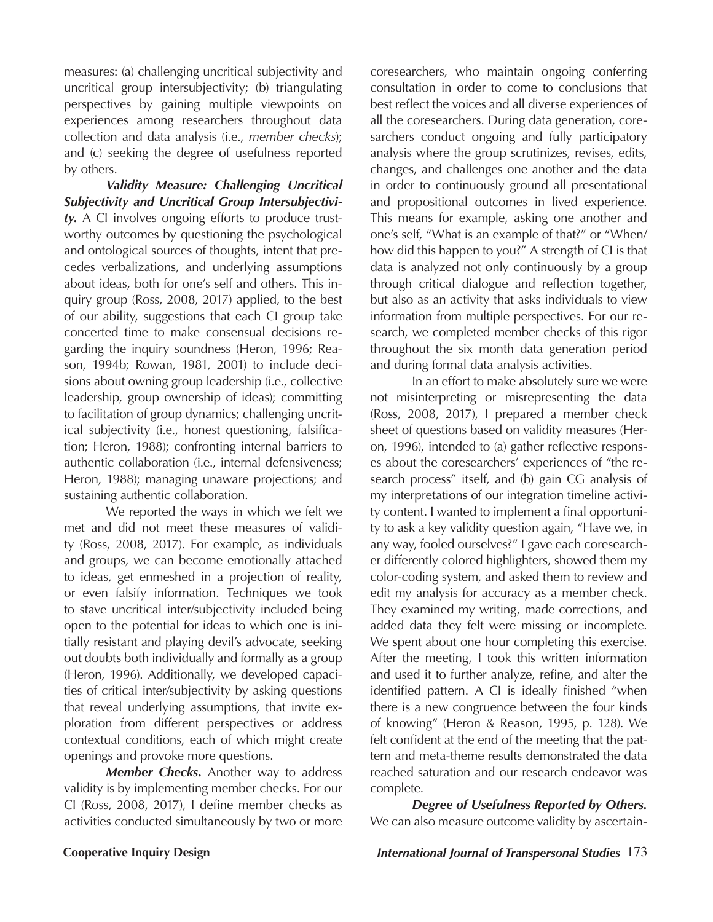measures: (a) challenging uncritical subjectivity and uncritical group intersubjectivity; (b) triangulating perspectives by gaining multiple viewpoints on experiences among researchers throughout data collection and data analysis (i.e., *member checks*); and (c) seeking the degree of usefulness reported by others.

*Validity Measure: Challenging Uncritical Subjectivity and Uncritical Group Intersubjectivity.*A CI involves ongoing efforts to produce trustworthy outcomes by questioning the psychological and ontological sources of thoughts, intent that precedes verbalizations, and underlying assumptions about ideas, both for one's self and others. This inquiry group (Ross, 2008, 2017) applied, to the best of our ability, suggestions that each CI group take concerted time to make consensual decisions regarding the inquiry soundness (Heron, 1996; Reason, 1994b; Rowan, 1981, 2001) to include decisions about owning group leadership (i.e., collective leadership, group ownership of ideas); committing to facilitation of group dynamics; challenging uncritical subjectivity (i.e., honest questioning, falsification; Heron, 1988); confronting internal barriers to authentic collaboration (i.e., internal defensiveness; Heron, 1988); managing unaware projections; and sustaining authentic collaboration.

We reported the ways in which we felt we met and did not meet these measures of validity (Ross, 2008, 2017). For example, as individuals and groups, we can become emotionally attached to ideas, get enmeshed in a projection of reality, or even falsify information. Techniques we took to stave uncritical inter/subjectivity included being open to the potential for ideas to which one is initially resistant and playing devil's advocate, seeking out doubts both individually and formally as a group (Heron, 1996). Additionally, we developed capacities of critical inter/subjectivity by asking questions that reveal underlying assumptions, that invite exploration from different perspectives or address contextual conditions, each of which might create openings and provoke more questions.

*Member Checks.* Another way to address validity is by implementing member checks. For our CI (Ross, 2008, 2017), I define member checks as activities conducted simultaneously by two or more

coresearchers, who maintain ongoing conferring consultation in order to come to conclusions that best reflect the voices and all diverse experiences of all the coresearchers. During data generation, coresarchers conduct ongoing and fully participatory analysis where the group scrutinizes, revises, edits, changes, and challenges one another and the data in order to continuously ground all presentational and propositional outcomes in lived experience. This means for example, asking one another and one's self, "What is an example of that?" or "When/ how did this happen to you?" A strength of CI is that data is analyzed not only continuously by a group through critical dialogue and reflection together, but also as an activity that asks individuals to view information from multiple perspectives. For our research, we completed member checks of this rigor throughout the six month data generation period and during formal data analysis activities.

In an effort to make absolutely sure we were not misinterpreting or misrepresenting the data (Ross, 2008, 2017), I prepared a member check sheet of questions based on validity measures (Heron, 1996), intended to (a) gather reflective responses about the coresearchers' experiences of "the research process" itself, and (b) gain CG analysis of my interpretations of our integration timeline activity content. I wanted to implement a final opportunity to ask a key validity question again, "Have we, in any way, fooled ourselves?" I gave each coresearcher differently colored highlighters, showed them my color-coding system, and asked them to review and edit my analysis for accuracy as a member check. They examined my writing, made corrections, and added data they felt were missing or incomplete. We spent about one hour completing this exercise. After the meeting, I took this written information and used it to further analyze, refine, and alter the identified pattern. A CI is ideally finished "when there is a new congruence between the four kinds of knowing" (Heron & Reason, 1995, p. 128). We felt confident at the end of the meeting that the pattern and meta-theme results demonstrated the data reached saturation and our research endeavor was complete.

*Degree of Usefulness Reported by Others.*  We can also measure outcome validity by ascertain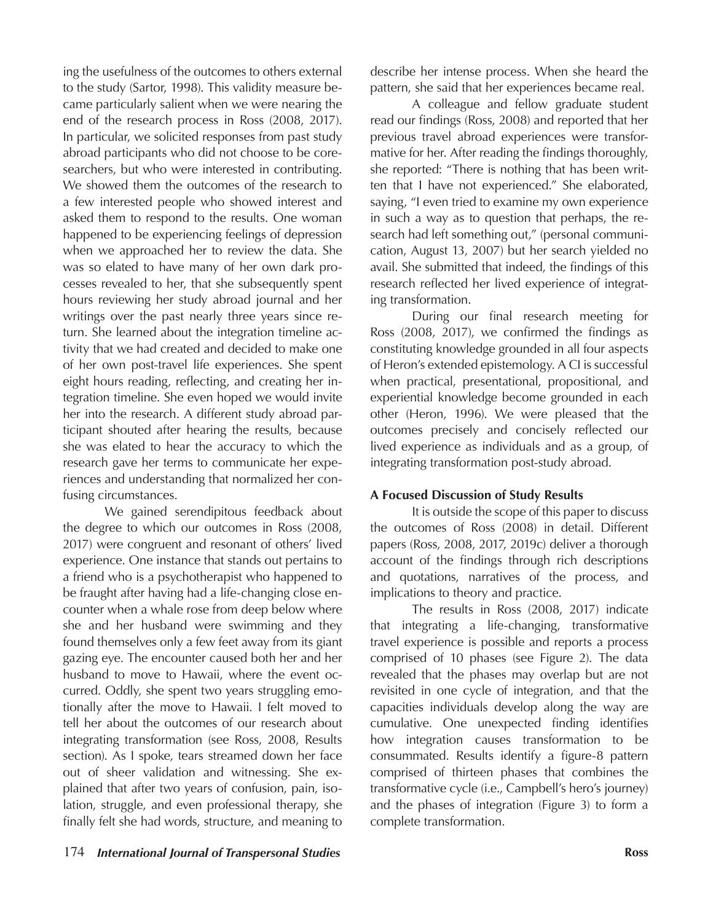ing the usefulness of the outcomes to others external to the study (Sartor, 1998). This validity measure became particularly salient when we were nearing the end of the research process in Ross (2008, 2017). In particular, we solicited responses from past study abroad participants who did not choose to be coresearchers, but who were interested in contributing. We showed them the outcomes of the research to a few interested people who showed interest and asked them to respond to the results. One woman happened to be experiencing feelings of depression when we approached her to review the data. She was so elated to have many of her own dark processes revealed to her, that she subsequently spent hours reviewing her study abroad journal and her writings over the past nearly three years since return. She learned about the integration timeline activity that we had created and decided to make one of her own post-travel life experiences. She spent eight hours reading, reflecting, and creating her integration timeline. She even hoped we would invite her into the research. A different study abroad participant shouted after hearing the results, because she was elated to hear the accuracy to which the research gave her terms to communicate her experiences and understanding that normalized her confusing circumstances.

We gained serendipitous feedback about the degree to which our outcomes in Ross (2008, 2017) were congruent and resonant of others' lived experience. One instance that stands out pertains to a friend who is a psychotherapist who happened to be fraught after having had a life-changing close encounter when a whale rose from deep below where she and her husband were swimming and they found themselves only a few feet away from its giant gazing eye. The encounter caused both her and her husband to move to Hawaii, where the event occurred. Oddly, she spent two years struggling emotionally after the move to Hawaii. I felt moved to tell her about the outcomes of our research about integrating transformation (see Ross, 2008, Results section). As I spoke, tears streamed down her face out of sheer validation and witnessing. She explained that after two years of confusion, pain, isolation, struggle, and even professional therapy, she finally felt she had words, structure, and meaning to

describe her intense process. When she heard the pattern, she said that her experiences became real.

A colleague and fellow graduate student read our findings (Ross, 2008) and reported that her previous travel abroad experiences were transformative for her. After reading the findings thoroughly, she reported: "There is nothing that has been written that I have not experienced." She elaborated, saying, "I even tried to examine my own experience in such a way as to question that perhaps, the research had left something out," (personal communication, August 13, 2007) but her search yielded no avail. She submitted that indeed, the findings of this research reflected her lived experience of integrating transformation.

During our final research meeting for Ross (2008, 2017), we confirmed the findings as constituting knowledge grounded in all four aspects of Heron's extended epistemology. A CI is successful when practical, presentational, propositional, and experiential knowledge become grounded in each other (Heron, 1996). We were pleased that the outcomes precisely and concisely reflected our lived experience as individuals and as a group, of integrating transformation post-study abroad.

# **A Focused Discussion of Study Results**

It is outside the scope of this paper to discuss the outcomes of Ross (2008) in detail. Different papers (Ross, 2008, 2017, 2019c) deliver a thorough account of the findings through rich descriptions and quotations, narratives of the process, and implications to theory and practice.

The results in Ross (2008, 2017) indicate that integrating a life-changing, transformative travel experience is possible and reports a process comprised of 10 phases (see Figure 2). The data revealed that the phases may overlap but are not revisited in one cycle of integration, and that the capacities individuals develop along the way are cumulative. One unexpected finding identifies how integration causes transformation to be consummated. Results identify a figure-8 pattern comprised of thirteen phases that combines the transformative cycle (i.e., Campbell's hero's journey) and the phases of integration (Figure 3) to form a complete transformation.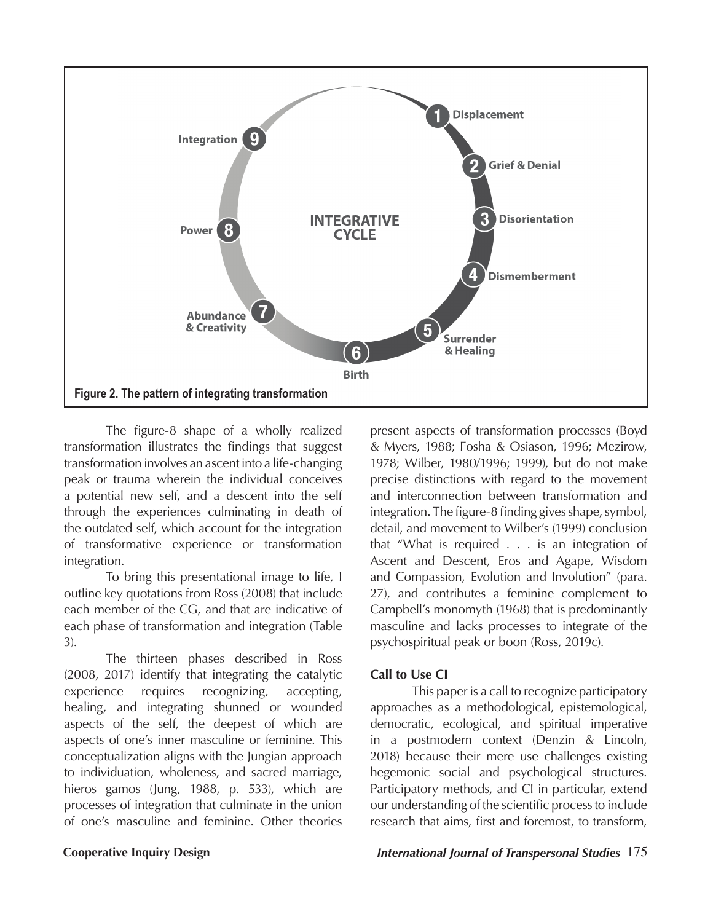

The figure-8 shape of a wholly realized transformation illustrates the findings that suggest transformation involves an ascent into a life-changing peak or trauma wherein the individual conceives a potential new self, and a descent into the self through the experiences culminating in death of the outdated self, which account for the integration of transformative experience or transformation integration.

To bring this presentational image to life, I outline key quotations from Ross (2008) that include each member of the CG, and that are indicative of each phase of transformation and integration (Table 3).

The thirteen phases described in Ross (2008, 2017) identify that integrating the catalytic experience requires recognizing, accepting, healing, and integrating shunned or wounded aspects of the self, the deepest of which are aspects of one's inner masculine or feminine. This conceptualization aligns with the Jungian approach to individuation, wholeness, and sacred marriage, hieros gamos (Jung, 1988, p. 533), which are processes of integration that culminate in the union of one's masculine and feminine. Other theories

present aspects of transformation processes (Boyd & Myers, 1988; Fosha & Osiason, 1996; Mezirow, 1978; Wilber, 1980/1996; 1999), but do not make precise distinctions with regard to the movement and interconnection between transformation and integration. The figure-8 finding gives shape, symbol, detail, and movement to Wilber's (1999) conclusion that "What is required . . . is an integration of Ascent and Descent, Eros and Agape, Wisdom and Compassion, Evolution and Involution" (para. 27), and contributes a feminine complement to Campbell's monomyth (1968) that is predominantly masculine and lacks processes to integrate of the psychospiritual peak or boon (Ross, 2019c).

## **Call to Use CI**

This paper is a call to recognize participatory approaches as a methodological, epistemological, democratic, ecological, and spiritual imperative in a postmodern context (Denzin & Lincoln, 2018) because their mere use challenges existing hegemonic social and psychological structures. Participatory methods, and CI in particular, extend our understanding of the scientific process to include research that aims, first and foremost, to transform,

### **Cooperative Inquiry Design** *International Journal of Transpersonal Studies* 175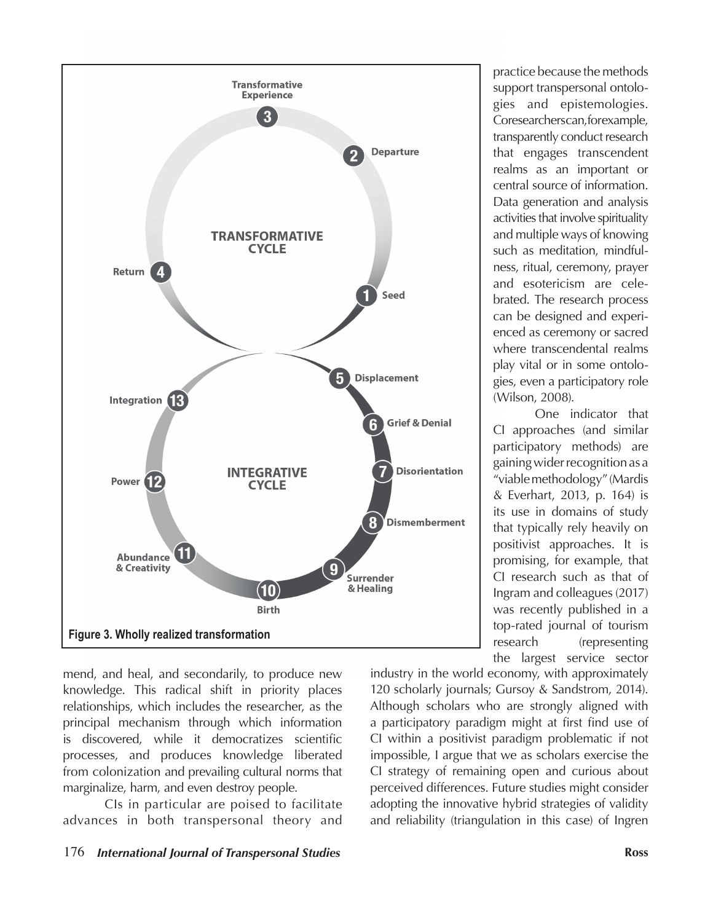

mend, and heal, and secondarily, to produce new knowledge. This radical shift in priority places relationships, which includes the researcher, as the principal mechanism through which information is discovered, while it democratizes scientific processes, and produces knowledge liberated from colonization and prevailing cultural norms that marginalize, harm, and even destroy people.

CIs in particular are poised to facilitate advances in both transpersonal theory and

practice because the methods support transpersonal ontologies and epistemologies. Coresearchers can, for example, transparently conduct research that engages transcendent realms as an important or central source of information. Data generation and analysis activities that involve spirituality and multiple ways of knowing such as meditation, mindfulness, ritual, ceremony, prayer and esotericism are celebrated. The research process can be designed and experienced as ceremony or sacred where transcendental realms play vital or in some ontologies, even a participatory role (Wilson, 2008).

One indicator that CI approaches (and similar participatory methods) are gaining wider recognition as a "viable methodology" (Mardis & Everhart, 2013, p. 164) is its use in domains of study that typically rely heavily on positivist approaches. It is promising, for example, that CI research such as that of Ingram and colleagues (2017) was recently published in a top-rated journal of tourism research (representing the largest service sector

industry in the world economy, with approximately 120 scholarly journals; Gursoy & Sandstrom, 2014). Although scholars who are strongly aligned with a participatory paradigm might at first find use of CI within a positivist paradigm problematic if not impossible, I argue that we as scholars exercise the CI strategy of remaining open and curious about perceived differences. Future studies might consider adopting the innovative hybrid strategies of validity and reliability (triangulation in this case) of Ingren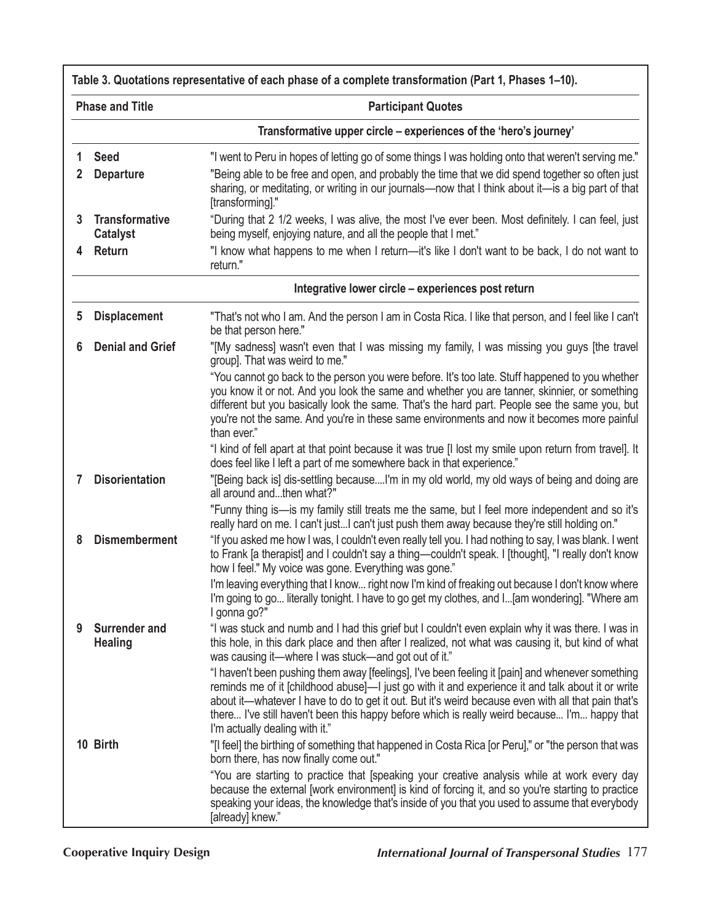|                        | Table 3. Quotations representative of each phase of a complete transformation (Part 1, Phases 1–10). |                                                                                                                                                                                                                                                                                                                                                                                                                                                                                                                        |  |  |
|------------------------|------------------------------------------------------------------------------------------------------|------------------------------------------------------------------------------------------------------------------------------------------------------------------------------------------------------------------------------------------------------------------------------------------------------------------------------------------------------------------------------------------------------------------------------------------------------------------------------------------------------------------------|--|--|
| <b>Phase and Title</b> |                                                                                                      | <b>Participant Quotes</b>                                                                                                                                                                                                                                                                                                                                                                                                                                                                                              |  |  |
|                        |                                                                                                      | Transformative upper circle – experiences of the 'hero's journey'                                                                                                                                                                                                                                                                                                                                                                                                                                                      |  |  |
| 1<br>2                 | <b>Seed</b><br><b>Departure</b>                                                                      | "I went to Peru in hopes of letting go of some things I was holding onto that weren't serving me."<br>"Being able to be free and open, and probably the time that we did spend together so often just<br>sharing, or meditating, or writing in our journals—now that I think about it—is a big part of that<br>[transforming]."                                                                                                                                                                                        |  |  |
| 3                      | <b>Transformative</b><br><b>Catalyst</b>                                                             | "During that 2 1/2 weeks, I was alive, the most I've ever been. Most definitely. I can feel, just<br>being myself, enjoying nature, and all the people that I met."                                                                                                                                                                                                                                                                                                                                                    |  |  |
| 4                      | Return                                                                                               | "I know what happens to me when I return—it's like I don't want to be back, I do not want to<br>return."                                                                                                                                                                                                                                                                                                                                                                                                               |  |  |
|                        |                                                                                                      | Integrative lower circle – experiences post return                                                                                                                                                                                                                                                                                                                                                                                                                                                                     |  |  |
| 5                      | <b>Displacement</b>                                                                                  | "That's not who I am. And the person I am in Costa Rica. I like that person, and I feel like I can't<br>be that person here."                                                                                                                                                                                                                                                                                                                                                                                          |  |  |
| 6                      | <b>Denial and Grief</b>                                                                              | "[My sadness] wasn't even that I was missing my family, I was missing you guys [the travel<br>group]. That was weird to me."                                                                                                                                                                                                                                                                                                                                                                                           |  |  |
|                        |                                                                                                      | "You cannot go back to the person you were before. It's too late. Stuff happened to you whether<br>you know it or not. And you look the same and whether you are tanner, skinnier, or something<br>different but you basically look the same. That's the hard part. People see the same you, but<br>you're not the same. And you're in these same environments and now it becomes more painful<br>than ever."<br>"I kind of fell apart at that point because it was true [I lost my smile upon return from travel]. It |  |  |
| 7                      | <b>Disorientation</b>                                                                                | does feel like I left a part of me somewhere back in that experience."<br>"[Being back is] dis-settling becauseI'm in my old world, my old ways of being and doing are                                                                                                                                                                                                                                                                                                                                                 |  |  |
|                        |                                                                                                      | all around andthen what?"<br>"Funny thing is—is my family still treats me the same, but I feel more independent and so it's                                                                                                                                                                                                                                                                                                                                                                                            |  |  |
|                        |                                                                                                      | really hard on me. I can't justI can't just push them away because they're still holding on."                                                                                                                                                                                                                                                                                                                                                                                                                          |  |  |
| 8                      | <b>Dismemberment</b>                                                                                 | "If you asked me how I was, I couldn't even really tell you. I had nothing to say, I was blank. I went<br>to Frank [a therapist] and I couldn't say a thing-couldn't speak. I [thought], "I really don't know<br>how I feel." My voice was gone. Everything was gone."                                                                                                                                                                                                                                                 |  |  |
|                        |                                                                                                      | I'm leaving everything that I know right now I'm kind of freaking out because I don't know where<br>I'm going to go literally tonight. I have to go get my clothes, and I[am wondering]. "Where am<br>I gonna go?"                                                                                                                                                                                                                                                                                                     |  |  |
| 9                      | Surrender and<br><b>Healing</b>                                                                      | "I was stuck and numb and I had this grief but I couldn't even explain why it was there. I was in<br>this hole, in this dark place and then after I realized, not what was causing it, but kind of what<br>was causing it—where I was stuck—and got out of it."                                                                                                                                                                                                                                                        |  |  |
|                        |                                                                                                      | "I haven't been pushing them away [feelings], I've been feeling it [pain] and whenever something<br>reminds me of it [childhood abuse]—I just go with it and experience it and talk about it or write<br>about it—whatever I have to do to get it out. But it's weird because even with all that pain that's<br>there I've still haven't been this happy before which is really weird because I'm happy that<br>I'm actually dealing with it."                                                                         |  |  |
|                        | 10 Birth                                                                                             | "[I feel] the birthing of something that happened in Costa Rica [or Peru]," or "the person that was"<br>born there, has now finally come out."                                                                                                                                                                                                                                                                                                                                                                         |  |  |
|                        |                                                                                                      | "You are starting to practice that [speaking your creative analysis while at work every day<br>because the external [work environment] is kind of forcing it, and so you're starting to practice<br>speaking your ideas, the knowledge that's inside of you that you used to assume that everybody<br>[already] knew."                                                                                                                                                                                                 |  |  |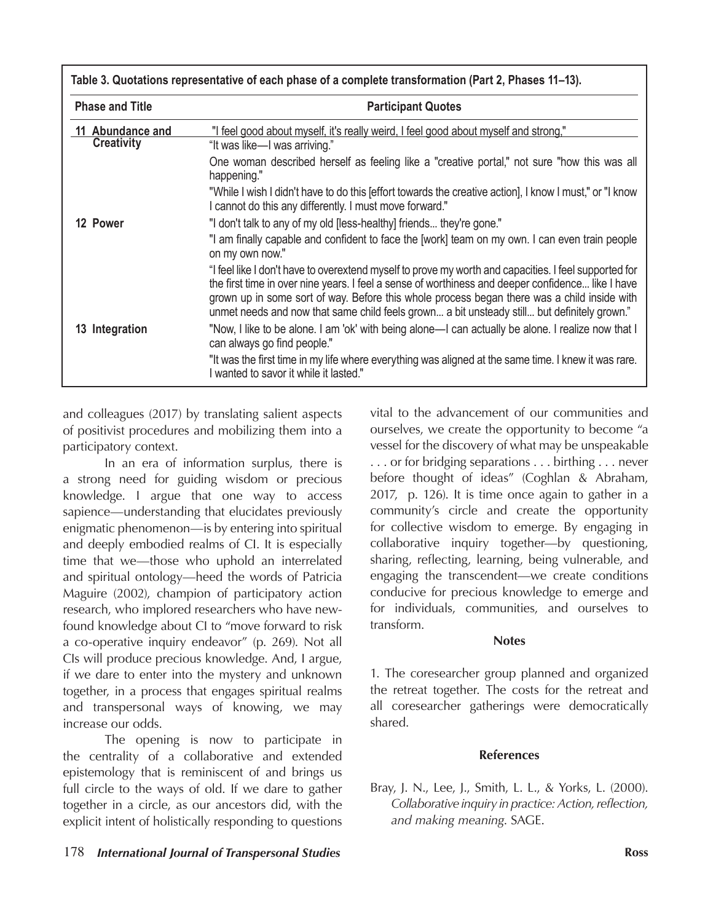| <b>Phase and Title</b>                | <b>Participant Quotes</b>                                                                                                                                                                                                                                                                                                                                                                                 |  |
|---------------------------------------|-----------------------------------------------------------------------------------------------------------------------------------------------------------------------------------------------------------------------------------------------------------------------------------------------------------------------------------------------------------------------------------------------------------|--|
| 11 Abundance and<br><b>Creativity</b> | "I feel good about myself, it's really weird, I feel good about myself and strong,"<br>"It was like—I was arriving."                                                                                                                                                                                                                                                                                      |  |
|                                       | One woman described herself as feeling like a "creative portal," not sure "how this was all<br>happening."                                                                                                                                                                                                                                                                                                |  |
|                                       | "While I wish I didn't have to do this [effort towards the creative action], I know I must," or "I know<br>I cannot do this any differently. I must move forward."                                                                                                                                                                                                                                        |  |
| 12 Power                              | "I don't talk to any of my old [less-healthy] friends they're gone."                                                                                                                                                                                                                                                                                                                                      |  |
|                                       | "I am finally capable and confident to face the [work] team on my own. I can even train people<br>on my own now."                                                                                                                                                                                                                                                                                         |  |
|                                       | l feel like I don't have to overextend myself to prove my worth and capacities. I feel supported for "<br>the first time in over nine years. I feel a sense of worthiness and deeper confidence like I have<br>grown up in some sort of way. Before this whole process began there was a child inside with<br>unmet needs and now that same child feels grown a bit unsteady still but definitely grown." |  |
| 13 Integration                        | "Now, I like to be alone. I am 'ok' with being alone—I can actually be alone. I realize now that I<br>can always go find people."                                                                                                                                                                                                                                                                         |  |
|                                       | "It was the first time in my life where everything was aligned at the same time. I knew it was rare.<br>I wanted to savor it while it lasted."                                                                                                                                                                                                                                                            |  |

and colleagues (2017) by translating salient aspects of positivist procedures and mobilizing them into a participatory context.

In an era of information surplus, there is a strong need for guiding wisdom or precious knowledge. I argue that one way to access sapience—understanding that elucidates previously enigmatic phenomenon—is by entering into spiritual and deeply embodied realms of CI. It is especially time that we—those who uphold an interrelated and spiritual ontology—heed the words of Patricia Maguire (2002), champion of participatory action research, who implored researchers who have newfound knowledge about CI to "move forward to risk a co-operative inquiry endeavor" (p. 269). Not all CIs will produce precious knowledge. And, I argue, if we dare to enter into the mystery and unknown together, in a process that engages spiritual realms and transpersonal ways of knowing, we may increase our odds.

The opening is now to participate in the centrality of a collaborative and extended epistemology that is reminiscent of and brings us full circle to the ways of old. If we dare to gather together in a circle, as our ancestors did, with the explicit intent of holistically responding to questions

vital to the advancement of our communities and ourselves, we create the opportunity to become "a vessel for the discovery of what may be unspeakable . . . or for bridging separations . . . birthing . . . never before thought of ideas" (Coghlan & Abraham, 2017, p. 126). It is time once again to gather in a community's circle and create the opportunity for collective wisdom to emerge. By engaging in collaborative inquiry together—by questioning, sharing, reflecting, learning, being vulnerable, and engaging the transcendent—we create conditions conducive for precious knowledgeto emerge and for individuals, communities, and ourselves to transform.

## **Notes**

1. The coresearcher group planned and organized the retreat together. The costs for the retreat and all coresearcher gatherings were democratically shared.

# **References**

Bray, J. N., Lee, J., Smith, L. L., & Yorks, L. (2000). *Collaborative inquiry in practice: Action, reflection, and making meaning*. SAGE.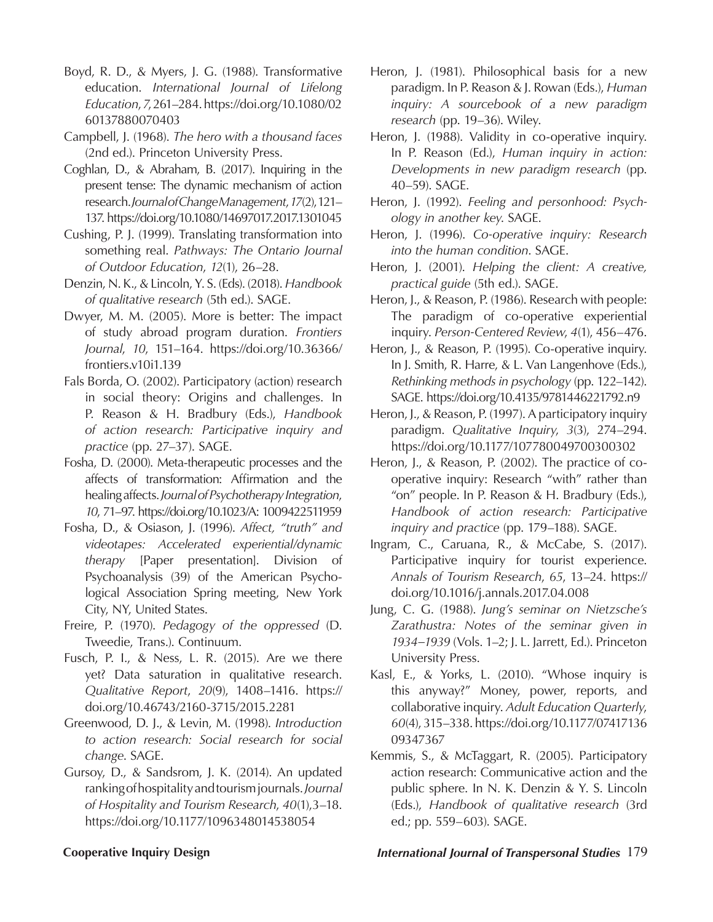- Boyd, R. D., & Myers, J. G. (1988). Transformative education. *International Journal of Lifelong Education*, *7*, 261–284. https://doi.org/10.1080/02 60137880070403
- Campbell, J. (1968). *The hero with a thousand faces*  (2nd ed.). Princeton University Press.
- Coghlan, D., & Abraham, B. (2017). Inquiring in the present tense: The dynamic mechanism of action research. *Journal of Change Management*, *17*(2), 121– 137. https://doi.org/10.1080/14697017.2017.1301045
- Cushing, P. J. (1999). Translating transformation into something real. *Pathways: The Ontario Journal of Outdoor Education*, *12*(1), 26–28.
- Denzin, N. K., & Lincoln, Y. S. (Eds). (2018). *Handbook of qualitative research* (5th ed.). SAGE.
- Dwyer, M. M. (2005). More is better: The impact of study abroad program duration. *Frontiers Journal*, *10*, 151–164. https://doi.org/10.36366/ frontiers.v10i1.139
- Fals Borda, O. (2002). Participatory (action) research in social theory: Origins and challenges. In P. Reason & H. Bradbury (Eds.), *Handbook of action research: Participative inquiry and practice* (pp. 27–37). SAGE.
- Fosha, D. (2000). Meta-therapeutic processes and the affects of transformation: Affirmation and the healing affects. *Journal of Psychotherapy Integration*, *10*, 71–97. https://doi.org/10.1023/A: 1009422511959
- Fosha, D., & Osiason, J. (1996). *Affect, "truth" and videotapes: Accelerated experiential/dynamic therapy* [Paper presentation]. Division of Psychoanalysis (39) of the American Psychological Association Spring meeting, New York City, NY, United States.
- Freire, P. (1970). *Pedagogy of the oppressed* (D. Tweedie, Trans.). Continuum.
- Fusch, P. I., & Ness, L. R. (2015). Are we there yet? Data saturation in qualitative research. *Qualitative Report*, *20*(9), 1408–1416. https:// doi.org/10.46743/2160-3715/2015.2281
- Greenwood, D. J., & Levin, M. (1998). *Introduction to action research: Social research for social change*. SAGE.
- Gursoy, D., & Sandsrom, J. K. (2014). An updated ranking of hospitality and tourism journals. *Journal of Hospitality and Tourism Research*, *40*(1),3–18. https://doi.org/10.1177/1096348014538054
- Heron, J. (1981). Philosophical basis for a new paradigm. In P. Reason & J. Rowan (Eds.), *Human inquiry: A sourcebook of a new paradigm research* (pp. 19–36). Wiley.
- Heron, J. (1988). Validity in co-operative inquiry. In P. Reason (Ed.), *Human inquiry in action: Developments in new paradigm research* (pp. 40–59). SAGE.
- Heron, J. (1992). *Feeling and personhood: Psychology in another key*. SAGE.
- Heron, J. (1996). *Co-operative inquiry: Research into the human condition*. SAGE.
- Heron, J. (2001). *Helping the client: A creative, practical guide* (5th ed.). SAGE.
- Heron, J., & Reason, P. (1986). Research with people: The paradigm of co-operative experiential inquiry. *Person-Centered Review*, *4*(1), 456–476.
- Heron, J., & Reason, P. (1995). Co-operative inquiry. In J. Smith, R. Harre, & L. Van Langenhove (Eds.), *Rethinking methods in psychology* (pp. 122–142). SAGE. https://doi.org/10.4135/9781446221792.n9
- Heron, J., & Reason, P. (1997). A participatory inquiry paradigm. *Qualitative Inquiry*, *3*(3), 274–294. https://doi.org/10.1177/107780049700300302
- Heron, J., & Reason, P. (2002). The practice of cooperative inquiry: Research "with" rather than "on" people. In P. Reason & H. Bradbury (Eds.), *Handbook of action research: Participative inquiry and practice* (pp. 179–188). SAGE.
- Ingram, C., Caruana, R., & McCabe, S. (2017). Participative inquiry for tourist experience. *Annals of Tourism Research*, *65*, 13–24. https:// doi.org/10.1016/j.annals.2017.04.008
- Jung, C. G. (1988). *Jung's seminar on Nietzsche's Zarathustra: Notes of the seminar given in 1934–1939* (Vols. 1–2; J. L. Jarrett, Ed.). Princeton University Press.
- Kasl, E., & Yorks, L. (2010). "Whose inquiry is this anyway?" Money, power, reports, and collaborative inquiry. *Adult Education Quarterly*, *60*(4), 315–338. https://doi.org/10.1177/07417136 09347367
- Kemmis, S., & McTaggart, R. (2005). Participatory action research: Communicative action and the public sphere. In N. K. Denzin & Y. S. Lincoln (Eds.), *Handbook of qualitative research* (3rd ed.; pp. 559–603). SAGE.

# **Cooperative Inquiry Design** *International Journal of Transpersonal Studies* 179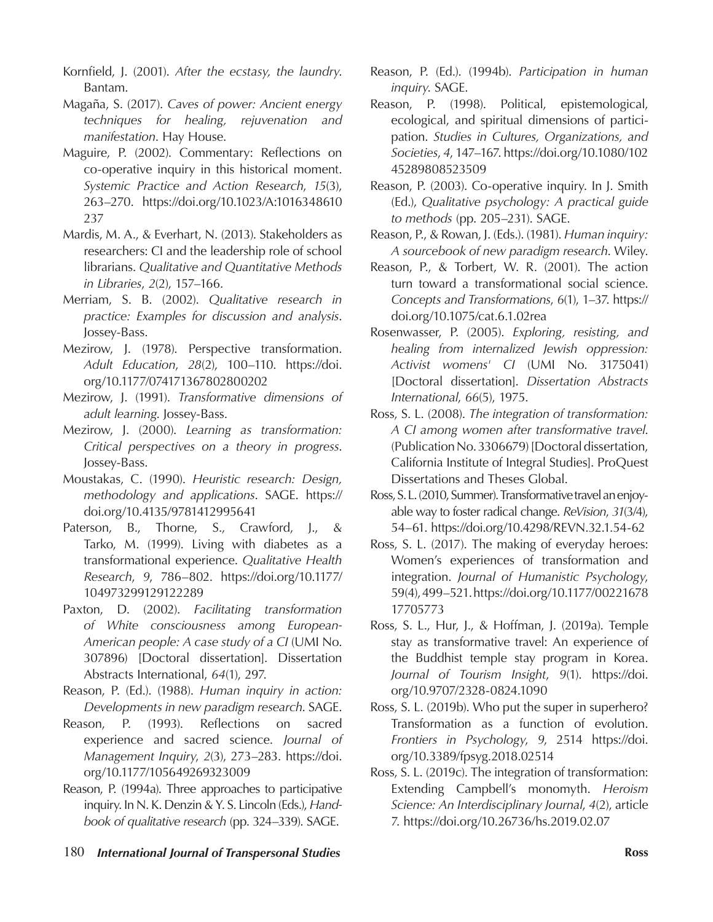Kornfield, J. (2001). *After the ecstasy, the laundry*. Bantam.

Magaña, S. (2017). *Caves of power: Ancient energy techniques for healing, rejuvenation and manifestation*. Hay House.

Maguire, P. (2002). Commentary: Reflections on co-operative inquiry in this historical moment. *Systemic Practice and Action Research*, *15*(3), 263–270. https://doi.org/10.1023/A:1016348610 237

Mardis, M. A., & Everhart, N. (2013). Stakeholders as researchers: CI and the leadership role of school librarians. *Qualitative and Quantitative Methods in Libraries*, *2*(2), 157–166.

Merriam, S. B. (2002). *Qualitative research in practice: Examples for discussion and analysis*. Jossey-Bass.

- Mezirow, J. (1978). Perspective transformation. *Adult Education*, *28*(2), 100–110. https://doi. org/10.1177/074171367802800202
- Mezirow, J. (1991). *Transformative dimensions of adult learning*. Jossey-Bass.
- Mezirow, J. (2000). *Learning as transformation: Critical perspectives on a theory in progress*. Jossey-Bass.
- Moustakas, C. (1990). *Heuristic research: Design, methodology and applications*. SAGE. https:// doi.org/10.4135/9781412995641
- Paterson, B., Thorne, S., Crawford, J., & Tarko, M. (1999). Living with diabetes as a transformational experience. *Qualitative Health Research*, *9*, 786–802. https://doi.org/10.1177/ 104973299129122289

Paxton, D. (2002). *Facilitating transformation of White consciousness among European-American people: A case study of a CI* (UMI No. 307896) [Doctoral dissertation]. Dissertation Abstracts International, *64*(1), 297.

Reason, P. (Ed.). (1988). *Human inquiry in action: Developments in new paradigm research*. SAGE.

Reason, P. (1993). Reflections on sacred experience and sacred science. *Journal of Management Inquiry*, *2*(3), 273–283. https://doi. org/10.1177/105649269323009

Reason, P. (1994a). Three approaches to participative inquiry. In N. K. Denzin & Y. S. Lincoln (Eds.), *Handbook of qualitative research* (pp. 324–339). SAGE.

Reason, P. (1998). Political, epistemological, ecological, and spiritual dimensions of participation. *Studies in Cultures, Organizations, and Societies*, *4*, 147–167. https://doi.org/10.1080/102 45289808523509

Reason, P. (2003). Co-operative inquiry. In J. Smith (Ed.), *Qualitative psychology: A practical guide to methods* (pp. 205–231). SAGE.

Reason, P., & Rowan, J. (Eds.). (1981). *Human inquiry: A sourcebook of new paradigm research*. Wiley.

Reason, P., & Torbert, W. R. (2001). The action turn toward a transformational social science. *Concepts and Transformations*, *6*(1), 1–37. https:// doi.org/10.1075/cat.6.1.02rea

- Rosenwasser, P. (2005). *Exploring, resisting, and healing from internalized Jewish oppression: Activist womens' CI* (UMI No. 3175041) [Doctoral dissertation]. *Dissertation Abstracts International*, *66*(5), 1975.
- Ross, S. L. (2008). *The integration of transformation: A CI among women after transformative travel*. (Publication No. 3306679) [Doctoral dissertation, California Institute of Integral Studies]. ProQuest Dissertations and Theses Global.

Ross, S. L. (2010, Summer). Transformative travel an enjoyable way to foster radical change. *ReVision*, *31*(3/4), 54–61. https://doi.org/10.4298/REVN.32.1.54-62

- Ross, S. L. (2017). The making of everyday heroes: Women's experiences of transformation and integration. *Journal of Humanistic Psychology*, 59(4), 499–521. https://doi.org/10.1177/00221678 17705773
- Ross, S. L., Hur, J., & Hoffman, J. (2019a). Temple stay as transformative travel: An experience of the Buddhist temple stay program in Korea. *Journal of Tourism Insight*, *9*(1). https://doi. org/10.9707/2328-0824.1090

Ross, S. L. (2019b). Who put the super in superhero? Transformation as a function of evolution. *Frontiers in Psychology*, *9*, 2514 https://doi. org/10.3389/fpsyg.2018.02514

Ross, S. L. (2019c). The integration of transformation: Extending Campbell's monomyth. *Heroism Science: An Interdisciplinary Journal*, *4*(2), article 7. https://doi.org/10.26736/hs.2019.02.07